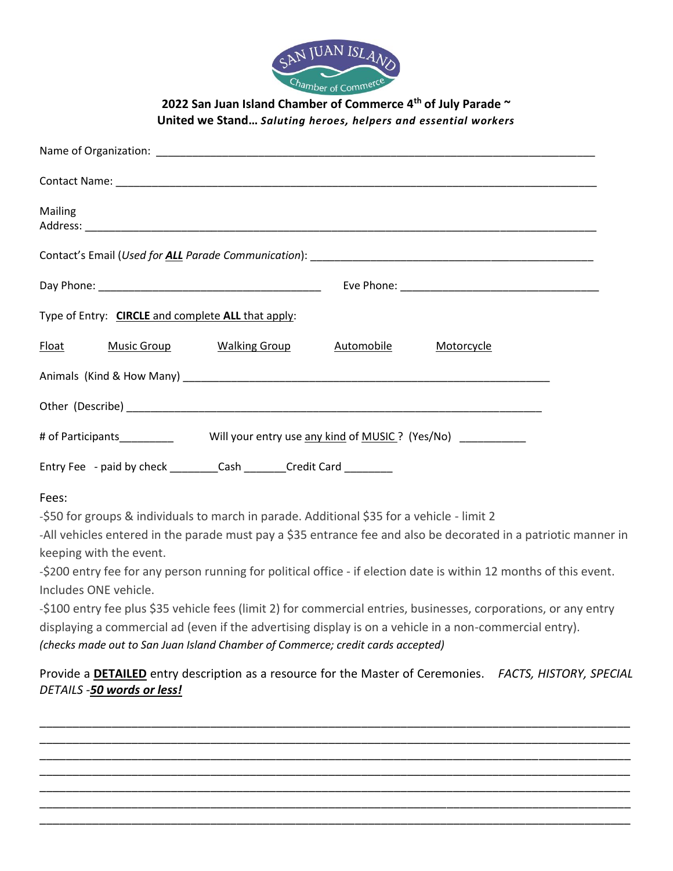

**2022 San Juan Island Chamber of Commerce 4th of July Parade ~ United we Stand…** *Saluting heroes, helpers and essential workers*

| Mailing                                                                                             |
|-----------------------------------------------------------------------------------------------------|
|                                                                                                     |
|                                                                                                     |
| Type of Entry: CIRCLE and complete ALL that apply:                                                  |
| Float Music Group Walking Group Automobile Motorcycle                                               |
|                                                                                                     |
|                                                                                                     |
| # of Participants_________________Will your entry use any kind of MUSIC ? (Yes/No) ___________      |
| Entry Fee - paid by check ____________Cash __________Credit Card __________                         |
| Fees:<br>-\$50 for groups & individuals to march in parade. Additional \$35 for a vehicle - limit 2 |

-All vehicles entered in the parade must pay a \$35 entrance fee and also be decorated in a patriotic manner in keeping with the event.

-\$200 entry fee for any person running for political office - if election date is within 12 months of this event. Includes ONE vehicle.

-\$100 entry fee plus \$35 vehicle fees (limit 2) for commercial entries, businesses, corporations, or any entry displaying a commercial ad (even if the advertising display is on a vehicle in a non-commercial entry). *(checks made out to San Juan Island Chamber of Commerce; credit cards accepted)*

Provide a **DETAILED** entry description as a resource for the Master of Ceremonies. *FACTS, HISTORY, SPECIAL DETAILS -50 words or less!*

\_\_\_\_\_\_\_\_\_\_\_\_\_\_\_\_\_\_\_\_\_\_\_\_\_\_\_\_\_\_\_\_\_\_\_\_\_\_\_\_\_\_\_\_\_\_\_\_\_\_\_\_\_\_\_\_\_\_\_\_\_\_\_\_\_\_\_\_\_\_\_\_\_\_\_\_\_\_\_\_\_\_\_\_\_\_\_\_\_\_ \_\_\_\_\_\_\_\_\_\_\_\_\_\_\_\_\_\_\_\_\_\_\_\_\_\_\_\_\_\_\_\_\_\_\_\_\_\_\_\_\_\_\_\_\_\_\_\_\_\_\_\_\_\_\_\_\_\_\_\_\_\_\_\_\_\_\_\_\_\_\_\_\_\_\_\_\_\_\_\_\_\_\_\_\_\_\_\_\_\_ \_\_\_\_\_\_\_\_\_\_\_\_\_\_\_\_\_\_\_\_\_\_\_\_\_\_\_\_\_\_\_\_\_\_\_\_\_\_\_\_\_\_\_\_\_\_\_\_\_\_\_\_\_\_\_\_\_\_\_\_\_\_\_\_\_\_\_\_\_\_\_\_\_\_\_\_\_\_\_\_\_\_\_\_\_\_\_\_\_\_ \_\_\_\_\_\_\_\_\_\_\_\_\_\_\_\_\_\_\_\_\_\_\_\_\_\_\_\_\_\_\_\_\_\_\_\_\_\_\_\_\_\_\_\_\_\_\_\_\_\_\_\_\_\_\_\_\_\_\_\_\_\_\_\_\_\_\_\_\_\_\_\_\_\_\_\_\_\_\_\_\_\_\_\_\_\_\_\_\_\_ \_\_\_\_\_\_\_\_\_\_\_\_\_\_\_\_\_\_\_\_\_\_\_\_\_\_\_\_\_\_\_\_\_\_\_\_\_\_\_\_\_\_\_\_\_\_\_\_\_\_\_\_\_\_\_\_\_\_\_\_\_\_\_\_\_\_\_\_\_\_\_\_\_\_\_\_\_\_\_\_\_\_\_\_\_\_\_\_\_\_ \_\_\_\_\_\_\_\_\_\_\_\_\_\_\_\_\_\_\_\_\_\_\_\_\_\_\_\_\_\_\_\_\_\_\_\_\_\_\_\_\_\_\_\_\_\_\_\_\_\_\_\_\_\_\_\_\_\_\_\_\_\_\_\_\_\_\_\_\_\_\_\_\_\_\_\_\_\_\_\_\_\_\_\_\_\_\_\_\_\_ \_\_\_\_\_\_\_\_\_\_\_\_\_\_\_\_\_\_\_\_\_\_\_\_\_\_\_\_\_\_\_\_\_\_\_\_\_\_\_\_\_\_\_\_\_\_\_\_\_\_\_\_\_\_\_\_\_\_\_\_\_\_\_\_\_\_\_\_\_\_\_\_\_\_\_\_\_\_\_\_\_\_\_\_\_\_\_\_\_\_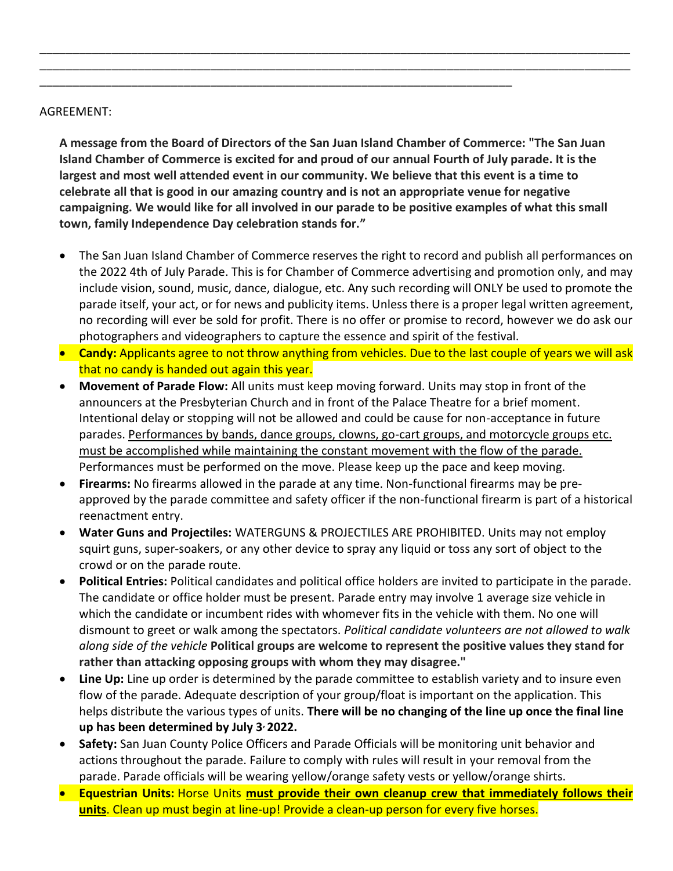## AGREEMENT:

**A message from the Board of Directors of the San Juan Island Chamber of Commerce: "The San Juan Island Chamber of Commerce is excited for and proud of our annual Fourth of July parade. It is the largest and most well attended event in our community. We believe that this event is a time to celebrate all that is good in our amazing country and is not an appropriate venue for negative campaigning. We would like for all involved in our parade to be positive examples of what this small town, family Independence Day celebration stands for."**

\_\_\_\_\_\_\_\_\_\_\_\_\_\_\_\_\_\_\_\_\_\_\_\_\_\_\_\_\_\_\_\_\_\_\_\_\_\_\_\_\_\_\_\_\_\_\_\_\_\_\_\_\_\_\_\_\_\_\_\_\_\_\_\_\_\_\_\_\_\_\_\_\_\_\_\_\_\_\_\_\_\_\_\_\_\_\_\_\_\_ \_\_\_\_\_\_\_\_\_\_\_\_\_\_\_\_\_\_\_\_\_\_\_\_\_\_\_\_\_\_\_\_\_\_\_\_\_\_\_\_\_\_\_\_\_\_\_\_\_\_\_\_\_\_\_\_\_\_\_\_\_\_\_\_\_\_\_\_\_\_\_\_\_\_\_\_\_\_\_\_\_\_\_\_\_\_\_\_\_\_

\_\_\_\_\_\_\_\_\_\_\_\_\_\_\_\_\_\_\_\_\_\_\_\_\_\_\_\_\_\_\_\_\_\_\_\_\_\_\_\_\_\_\_\_\_\_\_\_\_\_\_\_\_\_\_\_\_\_\_\_\_\_\_\_\_\_\_\_\_\_\_\_

- The San Juan Island Chamber of Commerce reserves the right to record and publish all performances on the 2022 4th of July Parade. This is for Chamber of Commerce advertising and promotion only, and may include vision, sound, music, dance, dialogue, etc. Any such recording will ONLY be used to promote the parade itself, your act, or for news and publicity items. Unless there is a proper legal written agreement, no recording will ever be sold for profit. There is no offer or promise to record, however we do ask our photographers and videographers to capture the essence and spirit of the festival.
- **Candy:** Applicants agree to not throw anything from vehicles. Due to the last couple of years we will ask that no candy is handed out again this year.
- **Movement of Parade Flow:** All units must keep moving forward. Units may stop in front of the announcers at the Presbyterian Church and in front of the Palace Theatre for a brief moment. Intentional delay or stopping will not be allowed and could be cause for non-acceptance in future parades. Performances by bands, dance groups, clowns, go-cart groups, and motorcycle groups etc. must be accomplished while maintaining the constant movement with the flow of the parade. Performances must be performed on the move. Please keep up the pace and keep moving.
- **Firearms:** No firearms allowed in the parade at any time. Non-functional firearms may be preapproved by the parade committee and safety officer if the non-functional firearm is part of a historical reenactment entry.
- **Water Guns and Projectiles:** WATERGUNS & PROJECTILES ARE PROHIBITED. Units may not employ squirt guns, super-soakers, or any other device to spray any liquid or toss any sort of object to the crowd or on the parade route.
- **Political Entries:** Political candidates and political office holders are invited to participate in the parade. The candidate or office holder must be present. Parade entry may involve 1 average size vehicle in which the candidate or incumbent rides with whomever fits in the vehicle with them. No one will dismount to greet or walk among the spectators. *Political candidate volunteers are not allowed to walk along side of the vehicle* **Political groups are welcome to represent the positive values they stand for rather than attacking opposing groups with whom they may disagree."**
- **Line Up:** Line up order is determined by the parade committee to establish variety and to insure even flow of the parade. Adequate description of your group/float is important on the application. This helps distribute the various types of units. **There will be no changing of the line up once the final line up has been determined by July 3, 2022.**
- **Safety:** San Juan County Police Officers and Parade Officials will be monitoring unit behavior and actions throughout the parade. Failure to comply with rules will result in your removal from the parade. Parade officials will be wearing yellow/orange safety vests or yellow/orange shirts.
- **Equestrian Units:** Horse Units **must provide their own cleanup crew that immediately follows their units**. Clean up must begin at line-up! Provide a clean-up person for every five horses.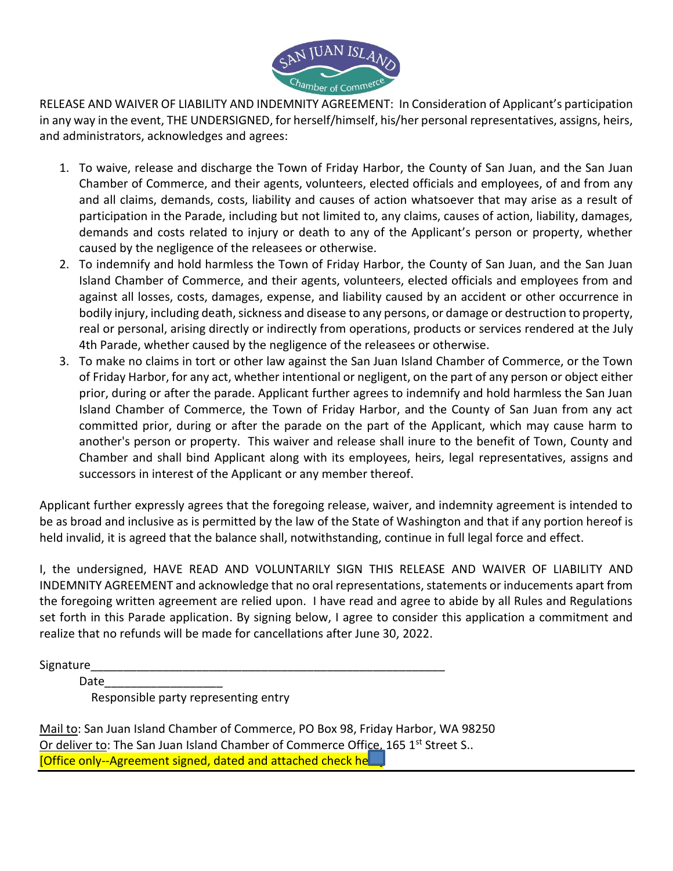

RELEASE AND WAIVER OF LIABILITY AND INDEMNITY AGREEMENT: In Consideration of Applicant's participation in any way in the event, THE UNDERSIGNED, for herself/himself, his/her personal representatives, assigns, heirs, and administrators, acknowledges and agrees:

- 1. To waive, release and discharge the Town of Friday Harbor, the County of San Juan, and the San Juan Chamber of Commerce, and their agents, volunteers, elected officials and employees, of and from any and all claims, demands, costs, liability and causes of action whatsoever that may arise as a result of participation in the Parade, including but not limited to, any claims, causes of action, liability, damages, demands and costs related to injury or death to any of the Applicant's person or property, whether caused by the negligence of the releasees or otherwise.
- 2. To indemnify and hold harmless the Town of Friday Harbor, the County of San Juan, and the San Juan Island Chamber of Commerce, and their agents, volunteers, elected officials and employees from and against all losses, costs, damages, expense, and liability caused by an accident or other occurrence in bodily injury, including death, sickness and disease to any persons, or damage or destruction to property, real or personal, arising directly or indirectly from operations, products or services rendered at the July 4th Parade, whether caused by the negligence of the releasees or otherwise.
- 3. To make no claims in tort or other law against the San Juan Island Chamber of Commerce, or the Town of Friday Harbor, for any act, whether intentional or negligent, on the part of any person or object either prior, during or after the parade. Applicant further agrees to indemnify and hold harmless the San Juan Island Chamber of Commerce, the Town of Friday Harbor, and the County of San Juan from any act committed prior, during or after the parade on the part of the Applicant, which may cause harm to another's person or property. This waiver and release shall inure to the benefit of Town, County and Chamber and shall bind Applicant along with its employees, heirs, legal representatives, assigns and successors in interest of the Applicant or any member thereof.

Applicant further expressly agrees that the foregoing release, waiver, and indemnity agreement is intended to be as broad and inclusive as is permitted by the law of the State of Washington and that if any portion hereof is held invalid, it is agreed that the balance shall, notwithstanding, continue in full legal force and effect.

I, the undersigned, HAVE READ AND VOLUNTARILY SIGN THIS RELEASE AND WAIVER OF LIABILITY AND INDEMNITY AGREEMENT and acknowledge that no oral representations, statements or inducements apart from the foregoing written agreement are relied upon. I have read and agree to abide by all Rules and Regulations set forth in this Parade application. By signing below, I agree to consider this application a commitment and realize that no refunds will be made for cancellations after June 30, 2022.

Signature

Date\_\_\_\_\_\_\_\_\_\_\_\_\_\_\_\_\_\_

Responsible party representing entry

Mail to: San Juan Island Chamber of Commerce, PO Box 98, Friday Harbor, WA 98250 Or deliver to: The San Juan Island Chamber of Commerce Office, 165  $1<sup>st</sup>$  Street S.. [Office only--Agreement signed, dated and attached check he